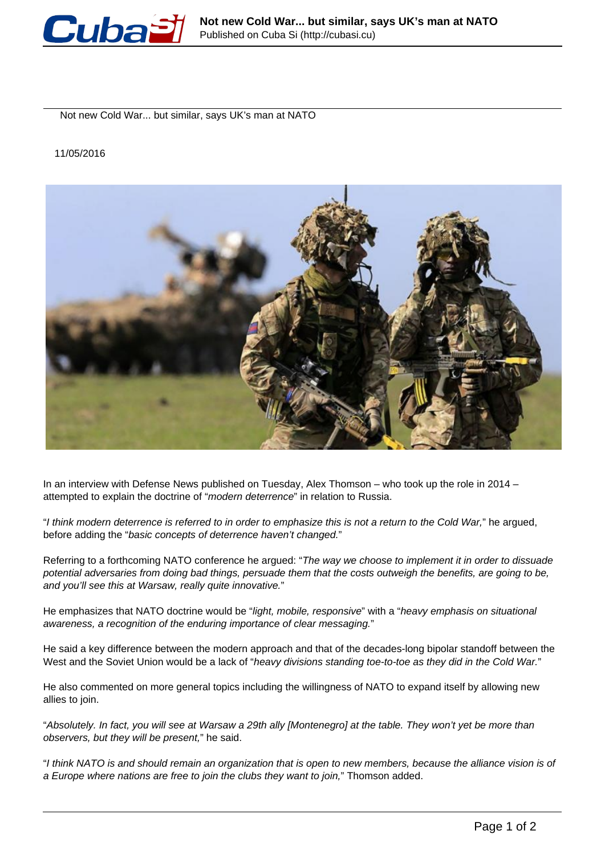

Not new Cold War... but similar, says UK's man at NATO

11/05/2016



In an interview with Defense News published on Tuesday, Alex Thomson – who took up the role in 2014 – attempted to explain the doctrine of "modern deterrence" in relation to Russia.

"I think modern deterrence is referred to in order to emphasize this is not a return to the Cold War," he argued, before adding the "basic concepts of deterrence haven't changed."

Referring to a forthcoming NATO conference he argued: "The way we choose to implement it in order to dissuade potential adversaries from doing bad things, persuade them that the costs outweigh the benefits, are going to be, and you'll see this at Warsaw, really quite innovative."

He emphasizes that NATO doctrine would be "light, mobile, responsive" with a "heavy emphasis on situational awareness, a recognition of the enduring importance of clear messaging."

He said a key difference between the modern approach and that of the decades-long bipolar standoff between the West and the Soviet Union would be a lack of "heavy divisions standing toe-to-toe as they did in the Cold War."

He also commented on more general topics including the willingness of NATO to expand itself by allowing new allies to join.

"Absolutely. In fact, you will see at Warsaw a 29th ally [Montenegro] at the table. They won't yet be more than observers, but they will be present," he said.

"I think NATO is and should remain an organization that is open to new members, because the alliance vision is of a Europe where nations are free to join the clubs they want to join," Thomson added.